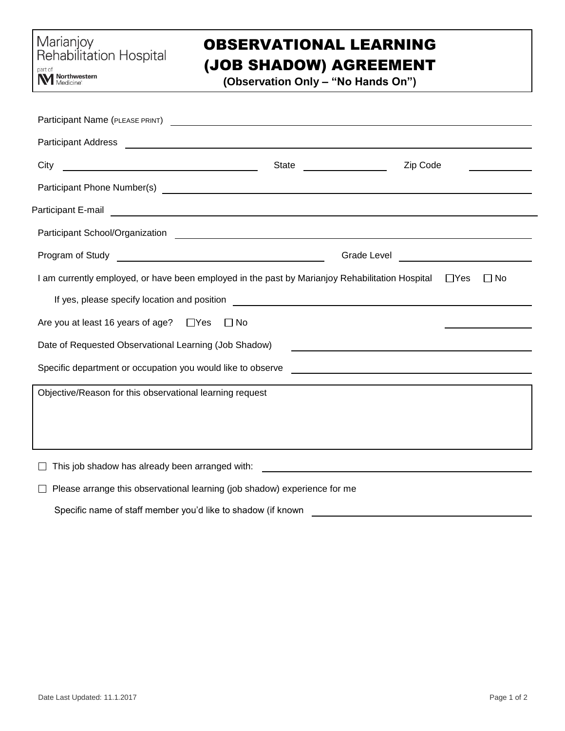# OBSERVATIONAL LEARNING

## (JOB SHADOW) AGREEMENT

**(Observation Only – "No Hands On")**

| Participant Name (PLEASE PRINT) CONTROL CONTROL CONTROL CONTROL CONTROL CONTROL CONTROL CONTROL CONTROL CONTROL CONTROL CONTROL CONTROL CONTROL CONTROL CONTROL CONTROL CONTROL CONTROL CONTROL CONTROL CONTROL CONTROL CONTRO       |       |          |
|--------------------------------------------------------------------------------------------------------------------------------------------------------------------------------------------------------------------------------------|-------|----------|
| Participant Address <b>Contract Contract Contract Contract Contract Contract Contract Contract Contract Contract Contract Contract Contract Contract Contract Contract Contract Contract Contract Contract Contract Contract Con</b> |       |          |
| City                                                                                                                                                                                                                                 | State | Zip Code |
|                                                                                                                                                                                                                                      |       |          |
| Participant E-mail <b>contract and the contract of the contract of the contract of the contract of the contract of the contract of the contract of the contract of the contract of the contract of the contract of the contract </b> |       |          |
|                                                                                                                                                                                                                                      |       |          |
|                                                                                                                                                                                                                                      |       |          |
| I am currently employed, or have been employed in the past by Marianjoy Rehabilitation Hospital □ Yes<br>∐ No                                                                                                                        |       |          |
|                                                                                                                                                                                                                                      |       |          |
| Are you at least 16 years of age? $\Box$ Yes $\Box$ No                                                                                                                                                                               |       |          |
| Date of Requested Observational Learning (Job Shadow)<br><u> 1989 - Andrea Station Barbara, amerikan personal di sebagai personal di sebagai personal di sebagai personal </u>                                                       |       |          |
|                                                                                                                                                                                                                                      |       |          |
| Objective/Reason for this observational learning request                                                                                                                                                                             |       |          |
|                                                                                                                                                                                                                                      |       |          |
|                                                                                                                                                                                                                                      |       |          |
| This job shadow has already been arranged with:<br><u> 1989 - John Stein, Amerikaansk politiker (</u>                                                                                                                                |       |          |

 $\Box$  Please arrange this observational learning (job shadow) experience for me

Specific name of staff member you'd like to shadow (if known